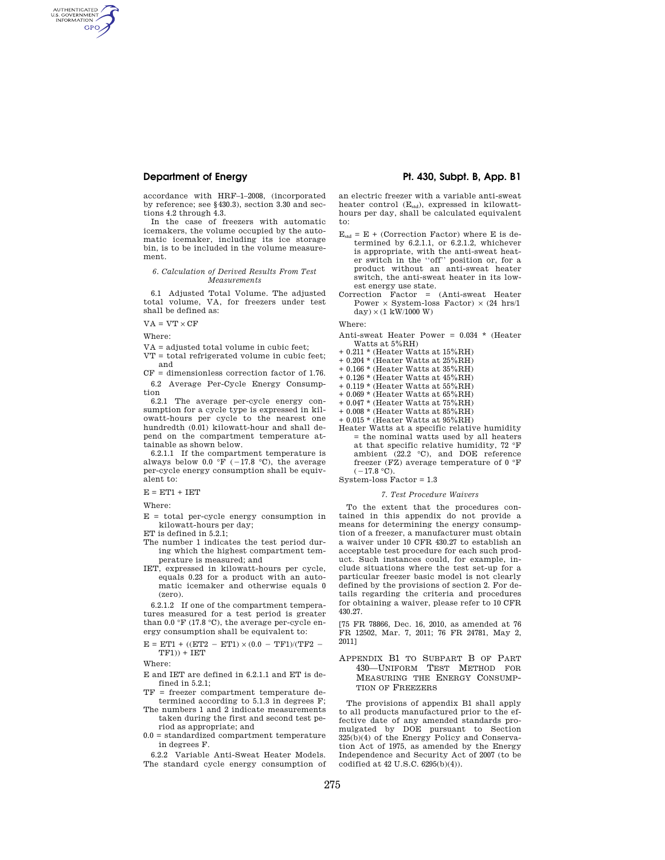accordance with HRF–1–2008, (incorporated by reference; see §430.3), section 3.30 and sections 4.2 through 4.3.

In the case of freezers with automatic icemakers, the volume occupied by the automatic icemaker, including its ice storage bin, is to be included in the volume measurement.

## *6. Calculation of Derived Results From Test Measurements*

6.1 Adjusted Total Volume. The adjusted total volume, VA, for freezers under test shall be defined as:

 $VA = VT \times CF$ 

Where:

AUTHENTICATED<br>U.S. GOVERNMENT<br>INFORMATION **GPO** 

VA = adjusted total volume in cubic feet;

VT = total refrigerated volume in cubic feet; and

 $CF = dimensionless correction factor of 1.76$ . 6.2 Average Per-Cycle Energy Consumption

6.2.1 The average per-cycle energy consumption for a cycle type is expressed in kilowatt-hours per cycle to the nearest one hundredth (0.01) kilowatt-hour and shall depend on the compartment temperature attainable as shown below.

6.2.1.1 If the compartment temperature is always below 0.0 °F ( $-17.8$  °C), the average per-cycle energy consumption shall be equivalent to:

 $E = ET1 + IET$ 

Where:

 $E =$  total per-cycle energy consumption in kilowatt-hours per day;

ET is defined in 5.2.1;

- The number 1 indicates the test period during which the highest compartment temperature is measured; and
- IET, expressed in kilowatt-hours per cycle, equals 0.23 for a product with an automatic icemaker and otherwise equals 0 (zero).

6.2.1.2 If one of the compartment temperatures measured for a test period is greater than  $0.0 \text{ }^{\circ}\text{F}$  (17.8  $\text{ }^{\circ}\text{C}$ ), the average per-cycle energy consumption shall be equivalent to:

 ${\rm E}$  = ET1 + ((ET2  $-$  ET1)  $\times \, (0.0$   $-$  TF1)/(TF2  $TF1$ )) +  $IET$ 

Where:

- E and IET are defined in 6.2.1.1 and ET is defined in 5.2.1;
- TF = freezer compartment temperature determined according to 5.1.3 in degrees F;
- The numbers 1 and 2 indicate measurements taken during the first and second test period as appropriate; and
- 0.0 = standardized compartment temperature in degrees F.

6.2.2 Variable Anti-Sweat Heater Models. The standard cycle energy consumption of

## **Department of Energy Pt. 430, Subpt. B, App. B1**

an electric freezer with a variable anti-sweat heater control (Estd), expressed in kilowatt-hours per day, shall be calculated equivalent to:

- $E_{std} = E +$  (Correction Factor) where E is determined by 6.2.1.1, or 6.2.1.2, whichever is appropriate, with the anti-sweat heater switch in the ''off'' position or, for a product without an anti-sweat heater switch, the anti-sweat heater in its lowest energy use state.
- Correction Factor = (Anti-sweat Heater Power  $\times$  System-loss Factor)  $\times$  (24 hrs/1  $\mathrm{day})\times(1$  kW/1000 W)

Where:

- Anti-sweat Heater Power = 0.034 \* (Heater Watts at 5%RH)
- $0.211$  \* (Heater Watts at  $15\%\mathrm{RH})$
- $+$  0.204  $^{\star}$  (Heater Watts at 25%RH)
- + 0.166 \* (Heater Watts at 35%RH) + 0.126 \* (Heater Watts at 45%RH)
- 
- $+$  0.119  $*$  (Heater Watts at 55%RH)
- $+$  0.069  $^{\star}$  (Heater Watts at 65%RH)
- + 0.047 \* (Heater Watts at 75%RH)
- + 0.008 \* (Heater Watts at 85%RH) + 0.015 \* (Heater Watts at 95%RH)
- 
- Heater Watts at a specific relative humidity = the nominal watts used by all heaters at that specific relative humidity, 72 °F ambient (22.2 °C), and DOE reference freezer (FZ) average temperature of 0 °F  $(-17.8 \text{ °C})$ .

System-loss Factor = 1.3

### *7. Test Procedure Waivers*

To the extent that the procedures contained in this appendix do not provide a means for determining the energy consumption of a freezer, a manufacturer must obtain a waiver under 10 CFR 430.27 to establish an acceptable test procedure for each such product. Such instances could, for example, include situations where the test set-up for a particular freezer basic model is not clearly defined by the provisions of section 2. For details regarding the criteria and procedures for obtaining a waiver, please refer to 10 CFR 430.27.

[75 FR 78866, Dec. 16, 2010, as amended at 76 FR 12502, Mar. 7, 2011; 76 FR 24781, May 2, 2011]

APPENDIX B1 TO SUBPART B OF PART 430—UNIFORM TEST METHOD FOR MEASURING THE ENERGY CONSUMP-TION OF FREEZERS

The provisions of appendix B1 shall apply to all products manufactured prior to the effective date of any amended standards promulgated by DOE pursuant to Section 325(b)(4) of the Energy Policy and Conservation Act of 1975, as amended by the Energy Independence and Security Act of 2007 (to be codified at 42 U.S.C. 6295(b)(4)).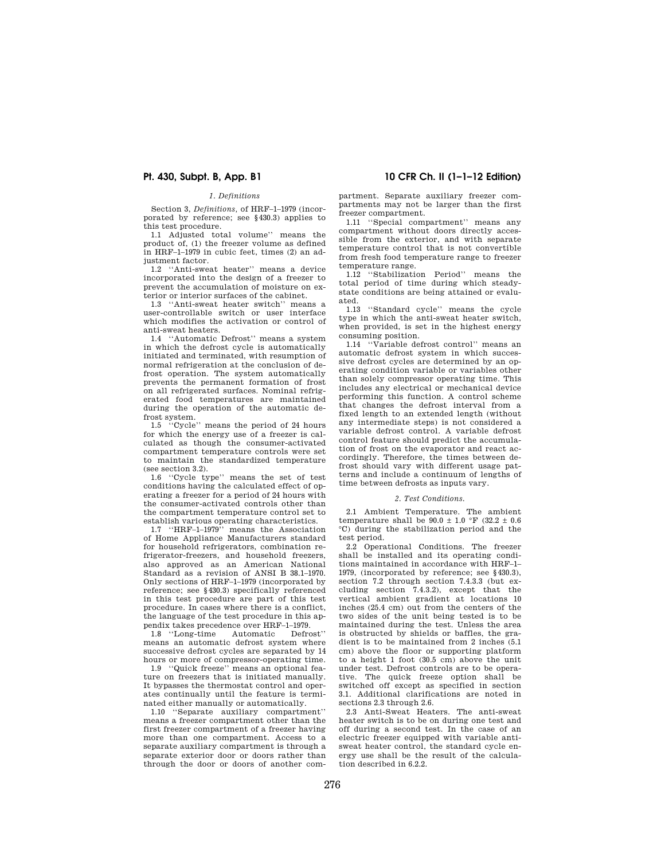### *1. Definitions*

Section 3, *Definitions,* of HRF–1–1979 (incorporated by reference; see §430.3) applies to this test procedure.

1.1 Adjusted total volume'' means the product of, (1) the freezer volume as defined in HRF–1–1979 in cubic feet, times (2) an adjustment factor.

1.2 ''Anti-sweat heater'' means a device incorporated into the design of a freezer to prevent the accumulation of moisture on exterior or interior surfaces of the cabinet.

1.3 ''Anti-sweat heater switch'' means a user-controllable switch or user interface which modifies the activation or control of anti-sweat heaters.

1.4 ''Automatic Defrost'' means a system in which the defrost cycle is automatically initiated and terminated, with resumption of normal refrigeration at the conclusion of defrost operation. The system automatically prevents the permanent formation of frost on all refrigerated surfaces. Nominal refrigerated food temperatures are maintained during the operation of the automatic defrost system.

1.5 ''Cycle'' means the period of 24 hours for which the energy use of a freezer is calculated as though the consumer-activated compartment temperature controls were set to maintain the standardized temperature (see section 3.2).

1.6 ''Cycle type'' means the set of test conditions having the calculated effect of operating a freezer for a period of 24 hours with the consumer-activated controls other than the compartment temperature control set to establish various operating characteristics.

1.7 ''HRF–1–1979'' means the Association of Home Appliance Manufacturers standard for household refrigerators, combination refrigerator-freezers, and household freezers, also approved as an American National Standard as a revision of ANSI B 38.1–1970. Only sections of HRF–1–1979 (incorporated by reference; see §430.3) specifically referenced in this test procedure are part of this test procedure. In cases where there is a conflict, the language of the test procedure in this ap-

pendix takes precedence over HRF-1-1979.<br>1.8 "Long-time Automatic Defrost"  $1.8$  "Long-time" means an automatic defrost system where successive defrost cycles are separated by 14 hours or more of compressor-operating time.

1.9 ''Quick freeze'' means an optional feature on freezers that is initiated manually. It bypasses the thermostat control and operates continually until the feature is terminated either manually or automatically.

1.10 ''Separate auxiliary compartment'' means a freezer compartment other than the first freezer compartment of a freezer having more than one compartment. Access to a separate auxiliary compartment is through a separate exterior door or doors rather than through the door or doors of another com-

**Pt. 430, Subpt. B, App. B1 10 CFR Ch. II (1–1–12 Edition)** 

partment. Separate auxiliary freezer compartments may not be larger than the first freezer compartment.

1.11 ''Special compartment'' means any compartment without doors directly accessible from the exterior, and with separate temperature control that is not convertible from fresh food temperature range to freezer temperature range.

1.12 ''Stabilization Period'' means the total period of time during which steadystate conditions are being attained or evaluated.<br> $1.13$ 

1.13 ''Standard cycle'' means the cycle type in which the anti-sweat heater switch, when provided, is set in the highest energy consuming position.

1.14 ''Variable defrost control'' means an automatic defrost system in which successive defrost cycles are determined by an operating condition variable or variables other than solely compressor operating time. This includes any electrical or mechanical device performing this function. A control scheme that changes the defrost interval from a fixed length to an extended length (without any intermediate steps) is not considered a variable defrost control. A variable defrost control feature should predict the accumulation of frost on the evaporator and react accordingly. Therefore, the times between defrost should vary with different usage patterns and include a continuum of lengths of time between defrosts as inputs vary.

### *2. Test Conditions.*

2.1 Ambient Temperature. The ambient temperature shall be  $90.0 \pm 1.0$  °F (32.2  $\pm$  0.6) °C) during the stabilization period and the test period.

2.2 Operational Conditions. The freezer shall be installed and its operating conditions maintained in accordance with HRF–1– 1979, (incorporated by reference; see §430.3), section 7.2 through section 7.4.3.3 (but excluding section 7.4.3.2), except that the vertical ambient gradient at locations 10 inches (25.4 cm) out from the centers of the two sides of the unit being tested is to be maintained during the test. Unless the area is obstructed by shields or baffles, the gradient is to be maintained from 2 inches (5.1 cm) above the floor or supporting platform to a height 1 foot (30.5 cm) above the unit under test. Defrost controls are to be operative. The quick freeze option shall be switched off except as specified in section 3.1. Additional clarifications are noted in sections 2.3 through 2.6.

2.3 Anti-Sweat Heaters. The anti-sweat heater switch is to be on during one test and off during a second test. In the case of an electric freezer equipped with variable antisweat heater control, the standard cycle energy use shall be the result of the calculation described in 6.2.2.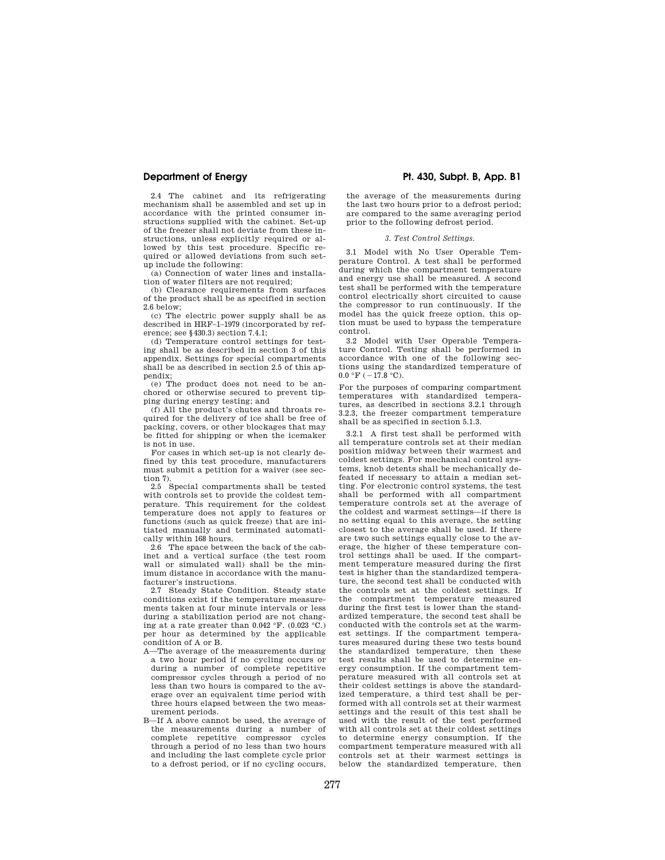2.4 The cabinet and its refrigerating mechanism shall be assembled and set up in accordance with the printed consumer instructions supplied with the cabinet. Set-up of the freezer shall not deviate from these instructions, unless explicitly required or allowed by this test procedure. Specific required or allowed deviations from such setup include the following:

(a) Connection of water lines and installation of water filters are not required;

(b) Clearance requirements from surfaces of the product shall be as specified in section 2.6 below;

(c) The electric power supply shall be as described in HRF–1–1979 (incorporated by reference; see §430.3) section 7.4.1;

(d) Temperature control settings for testing shall be as described in section 3 of this appendix. Settings for special compartments shall be as described in section 2.5 of this appendix;

(e) The product does not need to be anchored or otherwise secured to prevent tipping during energy testing; and

(f) All the product's chutes and throats required for the delivery of ice shall be free of packing, covers, or other blockages that may be fitted for shipping or when the icemaker is not in use.

For cases in which set-up is not clearly defined by this test procedure, manufacturers must submit a petition for a waiver (see section 7).

2.5 Special compartments shall be tested with controls set to provide the coldest temperature. This requirement for the coldest temperature does not apply to features or functions (such as quick freeze) that are initiated manually and terminated automatically within 168 hours.

2.6 The space between the back of the cabinet and a vertical surface (the test room wall or simulated wall) shall be the minimum distance in accordance with the manufacturer's instructions.

2.7 Steady State Condition. Steady state conditions exist if the temperature measurements taken at four minute intervals or less during a stabilization period are not changing at a rate greater than  $0.042 \text{ }^{\circ}\text{F}$ .  $(0.023 \text{ }^{\circ}\text{C})$ . per hour as determined by the applicable condition of A or B.

- A—The average of the measurements during a two hour period if no cycling occurs or during a number of complete repetitive compressor cycles through a period of no less than two hours is compared to the average over an equivalent time period with three hours elapsed between the two measurement periods.
- B—If A above cannot be used, the average of the measurements during a number of complete repetitive compressor cycles through a period of no less than two hours and including the last complete cycle prior to a defrost period, or if no cycling occurs,

# **Department of Energy Pt. 430, Subpt. B, App. B1**

the average of the measurements during the last two hours prior to a defrost period; are compared to the same averaging period prior to the following defrost period.

## *3. Test Control Settings.*

3.1 Model with No User Operable Temperature Control. A test shall be performed during which the compartment temperature and energy use shall be measured. A second test shall be performed with the temperature control electrically short circuited to cause the compressor to run continuously. If the model has the quick freeze option, this option must be used to bypass the temperature control.

3.2 Model with User Operable Temperature Control. Testing shall be performed in accordance with one of the following sections using the standardized temperature of  $0.0 \text{ }^{\circ} \text{F}$  (  $-17.8 \text{ }^{\circ} \text{C}$ ).

For the purposes of comparing compartment temperatures with standardized temperatures, as described in sections 3.2.1 through 3.2.3, the freezer compartment temperature shall be as specified in section 5.1.3.

3.2.1 A first test shall be performed with all temperature controls set at their median position midway between their warmest and coldest settings. For mechanical control systems, knob detents shall be mechanically defeated if necessary to attain a median setting. For electronic control systems, the test shall be performed with all compartment temperature controls set at the average of the coldest and warmest settings—if there is no setting equal to this average, the setting closest to the average shall be used. If there are two such settings equally close to the average, the higher of these temperature control settings shall be used. If the compartment temperature measured during the first test is higher than the standardized temperature, the second test shall be conducted with the controls set at the coldest settings. If the compartment temperature measured during the first test is lower than the standardized temperature, the second test shall be conducted with the controls set at the warmest settings. If the compartment temperatures measured during these two tests bound the standardized temperature, then these test results shall be used to determine energy consumption. If the compartment temperature measured with all controls set at their coldest settings is above the standardized temperature, a third test shall be performed with all controls set at their warmest settings and the result of this test shall be used with the result of the test performed with all controls set at their coldest settings to determine energy consumption. If the compartment temperature measured with all controls set at their warmest settings is below the standardized temperature, then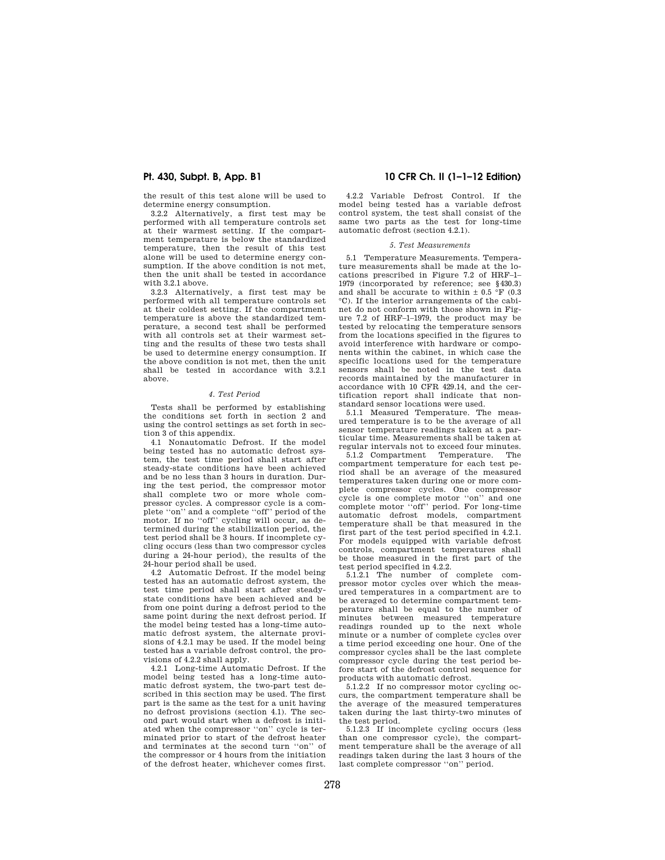the result of this test alone will be used to determine energy consumption.

3.2.2 Alternatively, a first test may be performed with all temperature controls set at their warmest setting. If the compartment temperature is below the standardized temperature, then the result of this test alone will be used to determine energy consumption. If the above condition is not met, then the unit shall be tested in accordance with 3.2.1 above.

3.2.3 Alternatively, a first test may be performed with all temperature controls set at their coldest setting. If the compartment temperature is above the standardized temperature, a second test shall be performed with all controls set at their warmest setting and the results of these two tests shall be used to determine energy consumption. If the above condition is not met, then the unit shall be tested in accordance with 3.2.1 above.

## *4. Test Period*

Tests shall be performed by establishing the conditions set forth in section 2 and using the control settings as set forth in section 3 of this appendix.

4.1 Nonautomatic Defrost. If the model being tested has no automatic defrost system, the test time period shall start after steady-state conditions have been achieved and be no less than 3 hours in duration. During the test period, the compressor motor shall complete two or more whole compressor cycles. A compressor cycle is a complete ''on'' and a complete ''off'' period of the motor. If no ''off'' cycling will occur, as determined during the stabilization period, the test period shall be 3 hours. If incomplete cycling occurs (less than two compressor cycles during a 24-hour period), the results of the 24-hour period shall be used.

4.2 Automatic Defrost. If the model being tested has an automatic defrost system, the test time period shall start after steadystate conditions have been achieved and be from one point during a defrost period to the same point during the next defrost period. If the model being tested has a long-time automatic defrost system, the alternate provisions of 4.2.1 may be used. If the model being tested has a variable defrost control, the provisions of 4.2.2 shall apply.

4.2.1 Long-time Automatic Defrost. If the model being tested has a long-time automatic defrost system, the two-part test described in this section may be used. The first part is the same as the test for a unit having no defrost provisions (section 4.1). The second part would start when a defrost is initiated when the compressor ''on'' cycle is terminated prior to start of the defrost heater and terminates at the second turn ''on'' of the compressor or 4 hours from the initiation of the defrost heater, whichever comes first.

## **Pt. 430, Subpt. B, App. B1 10 CFR Ch. II (1–1–12 Edition)**

4.2.2 Variable Defrost Control. If the model being tested has a variable defrost control system, the test shall consist of the same two parts as the test for long-time automatic defrost (section 4.2.1).

### *5. Test Measurements*

5.1 Temperature Measurements. Temperature measurements shall be made at the locations prescribed in Figure 7.2 of HRF–1– 1979 (incorporated by reference; see §430.3) and shall be accurate to within ± 0.5 °F (0.3 °C). If the interior arrangements of the cabinet do not conform with those shown in Figure 7.2 of HRF–1–1979, the product may be tested by relocating the temperature sensors from the locations specified in the figures to avoid interference with hardware or components within the cabinet, in which case the specific locations used for the temperature sensors shall be noted in the test data records maintained by the manufacturer in accordance with 10 CFR 429.14, and the certification report shall indicate that nonstandard sensor locations were used.

5.1.1 Measured Temperature. The measured temperature is to be the average of all sensor temperature readings taken at a particular time. Measurements shall be taken at regular intervals not to exceed four minutes.

5.1.2 Compartment Temperature. The compartment temperature for each test period shall be an average of the measured temperatures taken during one or more complete compressor cycles. One compressor cycle is one complete motor ''on'' and one complete motor ''off'' period. For long-time automatic defrost models, compartment temperature shall be that measured in the first part of the test period specified in 4.2.1. For models equipped with variable defrost controls, compartment temperatures shall be those measured in the first part of the test period specified in 4.2.2.

5.1.2.1 The number of complete compressor motor cycles over which the measured temperatures in a compartment are to be averaged to determine compartment temperature shall be equal to the number of minutes between measured temperature readings rounded up to the next whole minute or a number of complete cycles over a time period exceeding one hour. One of the compressor cycles shall be the last complete compressor cycle during the test period before start of the defrost control sequence for products with automatic defrost.

5.1.2.2 If no compressor motor cycling occurs, the compartment temperature shall be the average of the measured temperatures taken during the last thirty-two minutes of the test period.

5.1.2.3 If incomplete cycling occurs (less than one compressor cycle), the compartment temperature shall be the average of all readings taken during the last 3 hours of the last complete compressor ''on'' period.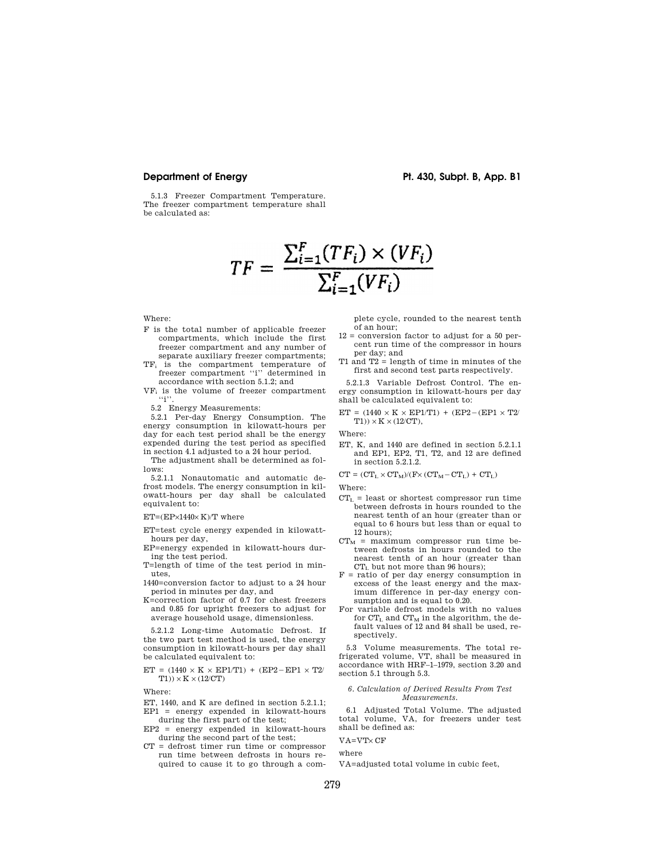**Department of Energy Pt. 430, Subpt. B, App. B1** 

5.1.3 Freezer Compartment Temperature. The freezer compartment temperature shall be calculated as:

$$
TF = \frac{\sum_{i=1}^{F} (TF_i) \times (VF_i)}{\sum_{i=1}^{F} (VF_i)}
$$

Where:

- F is the total number of applicable freezer compartments, which include the first freezer compartment and any number of separate auxiliary freezer compartments;
- TF<sup>i</sup> is the compartment temperature of freezer compartment "i" determined in accordance with section 5.1.2; and
- VF<sup>i</sup> is the volume of freezer compartment  $\lq\lq\lq\lq\lq\lq$  .
- 5.2 Energy Measurements:

5.2.1 Per-day Energy Consumption. The energy consumption in kilowatt-hours per day for each test period shall be the energy expended during the test period as specified in section 4.1 adjusted to a 24 hour period.

The adjustment shall be determined as follows:

5.2.1.1 Nonautomatic and automatic defrost models. The energy consumption in kilowatt-hours per day shall be calculated equivalent to:

## $ET=(EP\times1440\times K)/T$  where

ET=test cycle energy expended in kilowatthours per day,

- EP=energy expended in kilowatt-hours during the test period.
- T=length of time of the test period in minutes,
- 1440=conversion factor to adjust to a 24 hour period in minutes per day, and
- K=correction factor of 0.7 for chest freezers and 0.85 for upright freezers to adjust for average household usage, dimensionless.

5.2.1.2 Long-time Automatic Defrost. If the two part test method is used, the energy consumption in kilowatt-hours per day shall be calculated equivalent to:

$$
\begin{array}{l} \mathbf{ET} \,=\, (1440 \,\times\, K \,\times\, \mathbf{EPI/T1}) \,\,+\, (\mathbf{E}\mathbf{P2}-\mathbf{E}\mathbf{P1} \,\times\, \mathbf{T2}/\, \\ \mathbf{T1})) \times K \times (12/\mathbf{C}\mathbf{T}) \end{array}
$$

Where:

- ET, 1440, and K are defined in section 5.2.1.1;  $EP1$  = energy expended in kilowatt-hours
- during the first part of the test; EP2 = energy expended in kilowatt-hours
- during the second part of the test; CT = defrost timer run time or compressor run time between defrosts in hours required to cause it to go through a com-

plete cycle, rounded to the nearest tenth of an hour;

- 12 = conversion factor to adjust for a 50 percent run time of the compressor in hours per day; and
- T1 and T2 = length of time in minutes of the first and second test parts respectively.

5.2.1.3 Variable Defrost Control. The energy consumption in kilowatt-hours per day shall be calculated equivalent to:

 $ET = (1440 \times K \times EP1/T1) + (EP2-(EP1 \times T2)$  $T1)$ )  $\times$  K  $\times$  (12/CT),

Where:

ET, K, and 1440 are defined in section 5.2.1.1 and EP1, EP2, T1, T2, and 12 are defined in section 5.2.1.2.

 $CT = (CT_L \times CT_M)/(F \times (CT_M - CT_L) + CT_L)$ 

Where:

- $CT_L$  = least or shortest compressor run time between defrosts in hours rounded to the nearest tenth of an hour (greater than or equal to 6 hours but less than or equal to 12 hours);
- $CT_M$  = maximum compressor run time between defrosts in hours rounded to the nearest tenth of an hour (greater than CT<sub>L</sub> but not more than 96 hours);
- F = ratio of per day energy consumption in excess of the least energy and the maximum difference in per-day energy consumption and is equal to 0.20.
- For variable defrost models with no values for  $CT<sub>L</sub>$  and  $CT<sub>M</sub>$  in the algorithm, the default values of 12 and 84 shall be used, respectively.

5.3 Volume measurements. The total refrigerated volume, VT, shall be measured in accordance with HRF–1–1979, section 3.20 and section 5.1 through 5.3.

### *6. Calculation of Derived Results From Test Measurements.*

6.1 Adjusted Total Volume. The adjusted total volume, VA, for freezers under test shall be defined as:

# VA=VT× CF

where

VA=adjusted total volume in cubic feet,